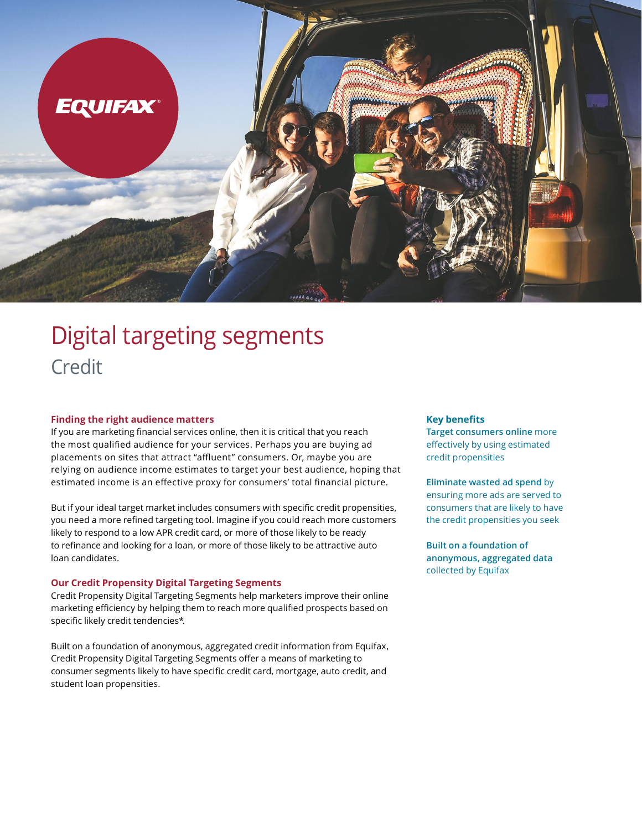

# Digital targeting segments Credit

## **Finding the right audience matters**

If you are marketing financial services online, then it is critical that you reach the most qualified audience for your services. Perhaps you are buying ad placements on sites that attract "affluent" consumers. Or, maybe you are relying on audience income estimates to target your best audience, hoping that estimated income is an effective proxy for consumers' total financial picture.

But if your ideal target market includes consumers with specific credit propensities, you need a more refined targeting tool. Imagine if you could reach more customers likely to respond to a low APR credit card, or more of those likely to be ready to refinance and looking for a loan, or more of those likely to be attractive auto loan candidates.

## **Our Credit Propensity Digital Targeting Segments**

Credit Propensity Digital Targeting Segments help marketers improve their online marketing efficiency by helping them to reach more qualified prospects based on specific likely credit tendencies\*.

Built on a foundation of anonymous, aggregated credit information from Equifax, Credit Propensity Digital Targeting Segments offer a means of marketing to consumer segments likely to have specific credit card, mortgage, auto credit, and student loan propensities.

#### **Key benefits**

**Target consumers online** more effectively by using estimated credit propensities

# **Eliminate wasted ad spend** by ensuring more ads are served to consumers that are likely to have

the credit propensities you seek

**Built on a foundation of anonymous, aggregated data**  collected by Equifax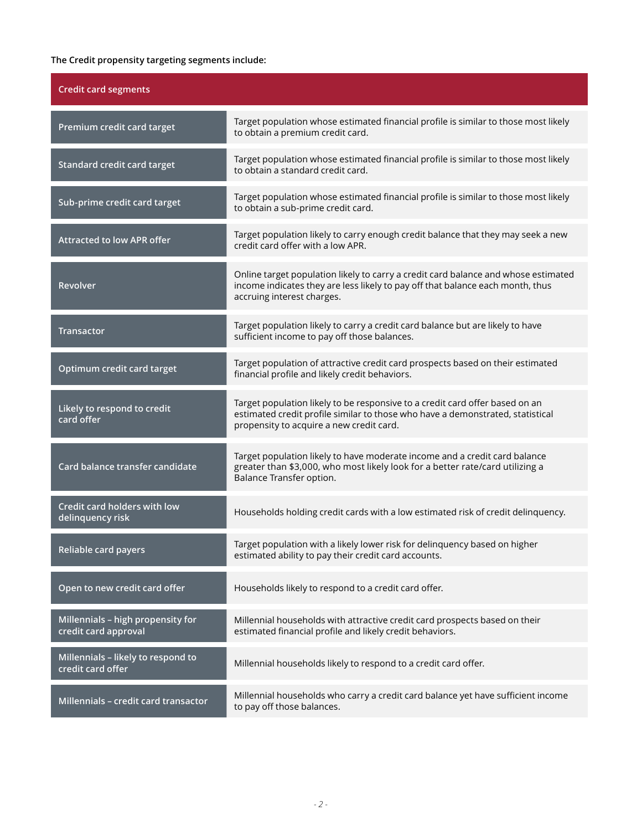# **The Credit propensity targeting segments include:**

| <b>Credit card segments</b>                               |                                                                                                                                                                                                            |
|-----------------------------------------------------------|------------------------------------------------------------------------------------------------------------------------------------------------------------------------------------------------------------|
| Premium credit card target                                | Target population whose estimated financial profile is similar to those most likely<br>to obtain a premium credit card.                                                                                    |
| Standard credit card target                               | Target population whose estimated financial profile is similar to those most likely<br>to obtain a standard credit card.                                                                                   |
| Sub-prime credit card target                              | Target population whose estimated financial profile is similar to those most likely<br>to obtain a sub-prime credit card.                                                                                  |
| <b>Attracted to low APR offer</b>                         | Target population likely to carry enough credit balance that they may seek a new<br>credit card offer with a low APR.                                                                                      |
| Revolver                                                  | Online target population likely to carry a credit card balance and whose estimated<br>income indicates they are less likely to pay off that balance each month, thus<br>accruing interest charges.         |
| <b>Transactor</b>                                         | Target population likely to carry a credit card balance but are likely to have<br>sufficient income to pay off those balances.                                                                             |
| Optimum credit card target                                | Target population of attractive credit card prospects based on their estimated<br>financial profile and likely credit behaviors.                                                                           |
| Likely to respond to credit<br>card offer                 | Target population likely to be responsive to a credit card offer based on an<br>estimated credit profile similar to those who have a demonstrated, statistical<br>propensity to acquire a new credit card. |
| Card balance transfer candidate                           | Target population likely to have moderate income and a credit card balance<br>greater than \$3,000, who most likely look for a better rate/card utilizing a<br>Balance Transfer option.                    |
| Credit card holders with low<br>delinquency risk          | Households holding credit cards with a low estimated risk of credit delinquency.                                                                                                                           |
| Reliable card payers                                      | Target population with a likely lower risk for delinquency based on higher<br>estimated ability to pay their credit card accounts.                                                                         |
| Open to new credit card offer                             | Households likely to respond to a credit card offer.                                                                                                                                                       |
| Millennials - high propensity for<br>credit card approval | Millennial households with attractive credit card prospects based on their<br>estimated financial profile and likely credit behaviors.                                                                     |
| Millennials - likely to respond to<br>credit card offer   | Millennial households likely to respond to a credit card offer.                                                                                                                                            |
| Millennials - credit card transactor                      | Millennial households who carry a credit card balance yet have sufficient income<br>to pay off those balances.                                                                                             |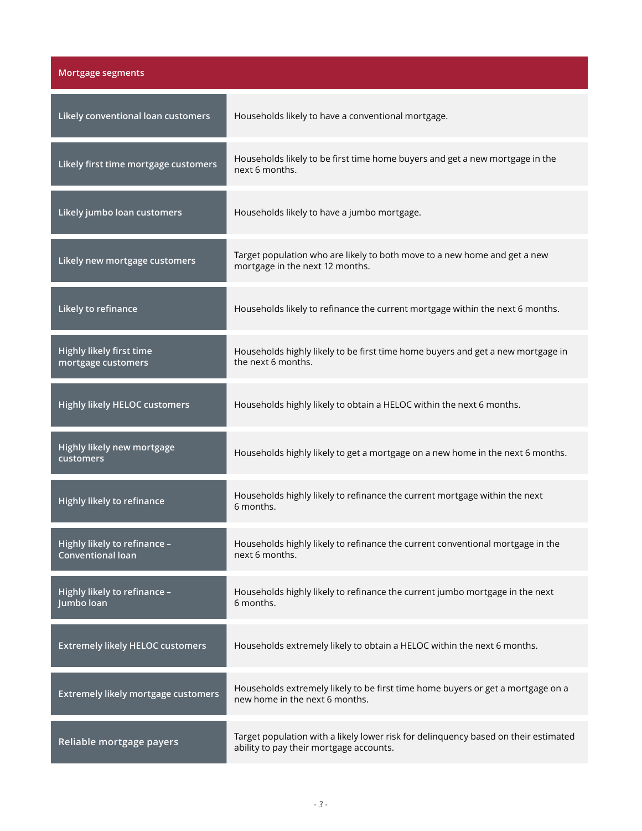| <b>Mortgage segments</b>                                 |                                                                                                                                |
|----------------------------------------------------------|--------------------------------------------------------------------------------------------------------------------------------|
| Likely conventional loan customers                       | Households likely to have a conventional mortgage.                                                                             |
| Likely first time mortgage customers                     | Households likely to be first time home buyers and get a new mortgage in the<br>next 6 months.                                 |
| Likely jumbo loan customers                              | Households likely to have a jumbo mortgage.                                                                                    |
| Likely new mortgage customers                            | Target population who are likely to both move to a new home and get a new<br>mortgage in the next 12 months.                   |
| Likely to refinance                                      | Households likely to refinance the current mortgage within the next 6 months.                                                  |
| Highly likely first time<br>mortgage customers           | Households highly likely to be first time home buyers and get a new mortgage in<br>the next 6 months.                          |
| <b>Highly likely HELOC customers</b>                     | Households highly likely to obtain a HELOC within the next 6 months.                                                           |
| Highly likely new mortgage<br>customers                  | Households highly likely to get a mortgage on a new home in the next 6 months.                                                 |
| Highly likely to refinance                               | Households highly likely to refinance the current mortgage within the next<br>6 months.                                        |
| Highly likely to refinance -<br><b>Conventional loan</b> | Households highly likely to refinance the current conventional mortgage in the<br>next 6 months.                               |
| Highly likely to refinance -<br>Jumbo loan               | Households highly likely to refinance the current jumbo mortgage in the next<br>6 months.                                      |
| <b>Extremely likely HELOC customers</b>                  | Households extremely likely to obtain a HELOC within the next 6 months.                                                        |
| Extremely likely mortgage customers                      | Households extremely likely to be first time home buyers or get a mortgage on a<br>new home in the next 6 months.              |
| Reliable mortgage payers                                 | Target population with a likely lower risk for delinquency based on their estimated<br>ability to pay their mortgage accounts. |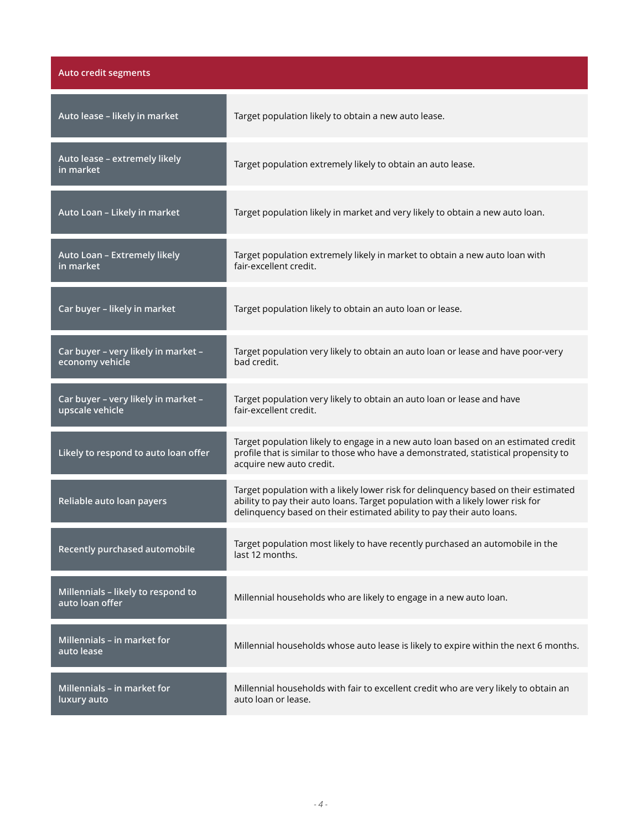| Auto credit segments                                   |                                                                                                                                                                                                                                                 |
|--------------------------------------------------------|-------------------------------------------------------------------------------------------------------------------------------------------------------------------------------------------------------------------------------------------------|
| Auto lease - likely in market                          | Target population likely to obtain a new auto lease.                                                                                                                                                                                            |
| Auto lease - extremely likely<br>in market             | Target population extremely likely to obtain an auto lease.                                                                                                                                                                                     |
| Auto Loan - Likely in market                           | Target population likely in market and very likely to obtain a new auto loan.                                                                                                                                                                   |
| Auto Loan - Extremely likely<br>in market              | Target population extremely likely in market to obtain a new auto loan with<br>fair-excellent credit.                                                                                                                                           |
| Car buyer - likely in market                           | Target population likely to obtain an auto loan or lease.                                                                                                                                                                                       |
| Car buyer - very likely in market -<br>economy vehicle | Target population very likely to obtain an auto loan or lease and have poor-very<br>bad credit.                                                                                                                                                 |
| Car buyer - very likely in market -<br>upscale vehicle | Target population very likely to obtain an auto loan or lease and have<br>fair-excellent credit.                                                                                                                                                |
| Likely to respond to auto loan offer                   | Target population likely to engage in a new auto loan based on an estimated credit<br>profile that is similar to those who have a demonstrated, statistical propensity to<br>acquire new auto credit.                                           |
| Reliable auto loan payers                              | Target population with a likely lower risk for delinquency based on their estimated<br>ability to pay their auto loans. Target population with a likely lower risk for<br>delinquency based on their estimated ability to pay their auto loans. |
| Recently purchased automobile                          | Target population most likely to have recently purchased an automobile in the<br>last 12 months.                                                                                                                                                |
| Millennials - likely to respond to<br>auto loan offer  | Millennial households who are likely to engage in a new auto loan.                                                                                                                                                                              |
| Millennials - in market for<br>auto lease              | Millennial households whose auto lease is likely to expire within the next 6 months.                                                                                                                                                            |
| Millennials - in market for<br>luxury auto             | Millennial households with fair to excellent credit who are very likely to obtain an<br>auto loan or lease.                                                                                                                                     |